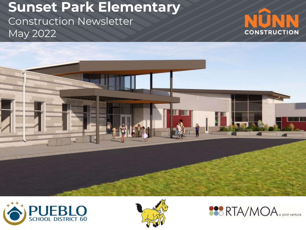# **Sunset Park Elementary** Construction Newsletter May 2022









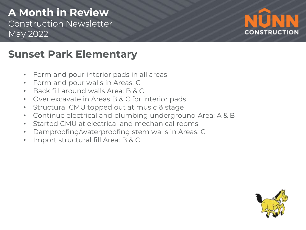### **A Month in Review** Construction Newsletter May 2022



## **Sunset Park Elementary**

- Form and pour interior pads in all areas
- Form and pour walls in Areas: C
- Back fill around walls Area: B & C
- Over excavate in Areas B & C for interior pads
- Structural CMU topped out at music & stage
- Continue electrical and plumbing underground Area: A & B
- Started CMU at electrical and mechanical rooms
- Damproofing/waterproofing stem walls in Areas: C
- Import structural fill Area: B & C

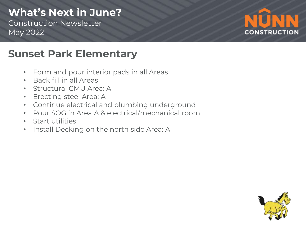# **What's Next in June?**

Construction Newsletter May 2022



# **Sunset Park Elementary**

- Form and pour interior pads in all Areas
- Back fill in all Areas
- Structural CMU Area: A
- Erecting steel Area: A
- Continue electrical and plumbing underground
- Pour SOG in Area A & electrical/mechanical room
- Start utilities
- Install Decking on the north side Area: A

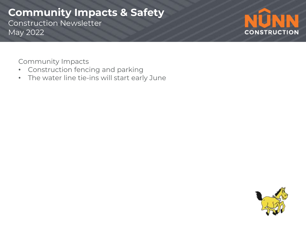### **Community Impacts & Safety** Construction Newsletter May 2022



Community Impacts

- Construction fencing and parking
- The water line tie-ins will start early June

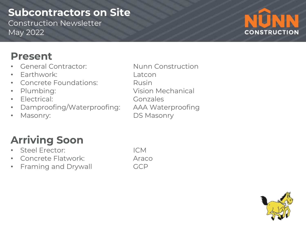## **Subcontractors on Site**

Construction Newsletter May 2022



# **Present**

- General Contractor: Nunn Construction
- Earthwork: Latcon
- **Concrete Foundations:** Rusin
- 
- Electrical: Gonzales
- Damproofing/Waterproofing: AAA Waterproofing
- 

• Plumbing: Vision Mechanical • Masonry: DS Masonry

# **Arriving Soon**

- Steel Erector: ICM
- Concrete Flatwork: Araco
- Framing and Drywall GCP

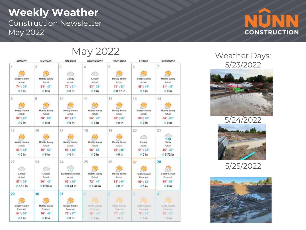### **Weekly Weather** Construction Newsletter May 2022



May 2022

| <b>SUNDAY</b>       | <b>MONDAY</b>               | TUESDAY                             | WEDNESDAY               | <b>THURSDAY</b>             | FRIDAY                      | SATURDAY                       |
|---------------------|-----------------------------|-------------------------------------|-------------------------|-----------------------------|-----------------------------|--------------------------------|
| 1                   | $\overline{2}$              | 3.                                  | 4                       | 5                           | 6                           | 7                              |
|                     |                             | e                                   |                         |                             |                             |                                |
| Mostly Sunny        | Mostly Sunny                | Cloudy                              | Cloudy                  | <b>Mostly Sunny</b>         | Mostly Sunny                | <b>Mostly Sunny</b>            |
| Actual              | Actuat                      | Actual:                             | Actual:                 | Actual                      | Actual:                     | Actual:                        |
| 74°138°             | $63^{\circ}$   $40^{\circ}$ | $70^{\circ}$   31"                  | 63°   38°               | $71^{\circ}$   $43^{\circ}$ | 88° 144°                    | $91^{\circ}$   46 <sup>*</sup> |
| 0 <sub>in</sub>     | $0 \ln$                     | #0 in                               | $0 \ln$                 | $0.67$ in                   | €0 in                       | 60 <sub>in</sub>               |
| $\overline{B}$      | $\overline{9}$              | 10                                  | 11                      | 12                          | 13                          | 14                             |
|                     |                             |                                     |                         |                             |                             |                                |
| Mostly Sunny        | Mostly Sunny                | Mostly Sunny                        | Mostly Sunny            | Mostly Sunny                | Mostly Sunny                | Mostly Sunny                   |
| Actual:             | Actual                      | Actual:                             | Actual                  | Actual:                     | Actual                      | Actual                         |
| 88°   48°           | $88^{\circ}$   $68^{\circ}$ | $80^{\circ}$   47°                  | $94°$   $47°$           | $83^{\circ}$   $55^{\circ}$ | 80°   42°                   | 84°   45°                      |
| $= 0$ in            | $0$ in                      | 0 in                                | $0$ in                  | €0 in                       | $0$ in                      | $0$ in                         |
| 15                  | 16                          | 17                                  | 18                      | 19                          | 20                          | 21                             |
|                     |                             |                                     |                         |                             |                             |                                |
| Mostly Sunny        | Mostly Sunny                | Mostly Sunny                        | Mostly Sunny            | Mostly Sunny                | Cloudy                      | 时间<br>Snow                     |
| Actual:             | Actual:                     | Actual:                             | Actual:                 | Actual:                     | Actual:                     | Actual                         |
| 83°   48°           | $86^{\circ}$   50°          | $93^{\circ}$   48°                  | 88°   58°               | $92^{\circ}$   $46^{\circ}$ | $51^{\circ}$   $33^{\circ}$ | 45°133°                        |
| $0$ in              | $00 \ln$                    | $0$ in                              | $0 \in \mathbb{R}$      | €0 in                       | #0 in                       | $0.72$ in                      |
| 22                  | 23                          | 24                                  | 25                      | 26                          | 27                          | 28                             |
|                     |                             |                                     |                         |                             |                             |                                |
|                     |                             |                                     |                         |                             |                             |                                |
| Cloudy<br>Actual    | Cloudy<br>Actual:           | <b>Scattered Showers</b><br>Actual: | Mostly Sunny<br>Actual: | Mostly Sunny<br>Actual:     | Partly Cloudy<br>Forecast   | Mostly Cloudy<br>Forecast:     |
| 57"   39"           | $60^{\circ}$   $43^{\circ}$ | $52^{\circ}$   45"                  | $72^{\circ}$   41"      | $82^{\circ}$   $44^{\circ}$ | $90^{\circ}$   $52^{\circ}$ | $90^{\circ}$ ( $55^{\circ}$    |
| $0.15$ in           | $0.28$ in                   | $0.24$ in                           | $0.34$ in               | €0 in                       | $00$ in                     | #0 in                          |
| 29                  | 30                          | 3 <sub>1</sub>                      |                         | ž                           | з                           |                                |
|                     |                             |                                     |                         |                             |                             |                                |
| Mostly Sunny        | Mostly Sunny                | Mostly Sunny                        | Partly Clinudy          | Partly Croody               | Partly Cloudy               | Partly Cloudy                  |
| Forecast            | Forecast                    | Forecast:                           | <b>Principality</b>     | Finished                    | Finalist                    | Farecest                       |
| $84^{n}$   $50^{n}$ | $76^{\circ}$   $46^{\circ}$ | $73^{\circ}$   $47^{\circ}$         | 89%   48"               | $77^{\circ}$ ) $53^{\circ}$ | 781 641                     | 86" (58"                       |
| $0$ in              | $0 \ln$                     | $0$ 0 in                            | $= 0$ in                | $\gg 0$ lm                  | i û in                      | $=0$ in                        |

Weather Days: 5/23/2022





5/25/2022

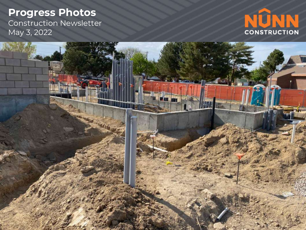Construction Newsletter May 3, 2022



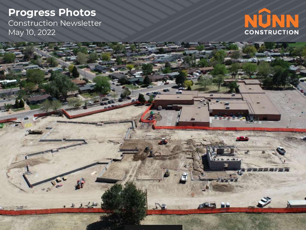#### **Progress Photos** Construction Newsletter May 10, 2022

a de de des



۰.

 $\frac{1}{2}$ 

11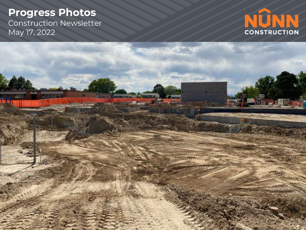Construction Newsletter May 17, 2022



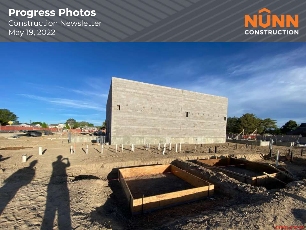Construction Newsletter May 19, 2022